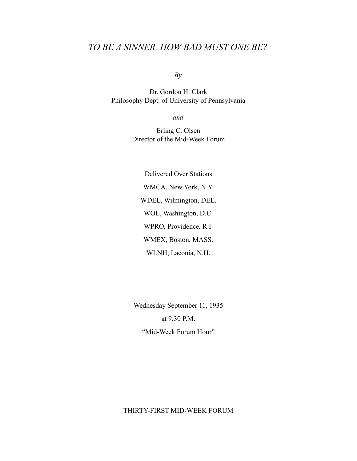## *TO BE A SINNER, HOW BAD MUST ONE BE?*

*By*

Dr. Gordon H. Clark Philosophy Dept. of University of Pennsylvania

*and*

Erling C. Olsen Director of the Mid-Week Forum

Delivered Over Stations WMCA, New York, N.Y. WDEL, Wilmington, DEL. WOL, Washington, D.C. WPRO, Providence, R.I. WMEX, Boston, MASS. WLNH, Laconia, N.H.

Wednesday September 11, 1935 at 9:30 P.M. "Mid-Week Forum Hour"

## THIRTY-FIRST MID-WEEK FORUM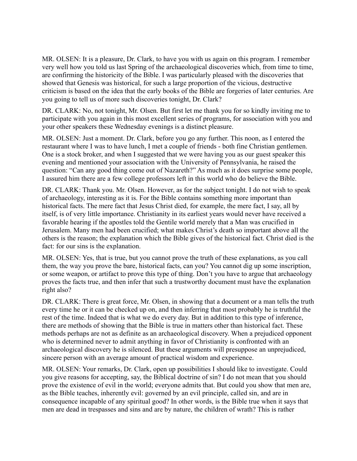MR. OLSEN: It is a pleasure, Dr. Clark, to have you with us again on this program. I remember very well how you told us last Spring of the archaeological discoveries which, from time to time, are confirming the historicity of the Bible. I was particularly pleased with the discoveries that showed that Genesis was historical, for such a large proportion of the vicious, destructive criticism is based on the idea that the early books of the Bible are forgeries of later centuries. Are you going to tell us of more such discoveries tonight, Dr. Clark?

DR. CLARK: No, not tonight, Mr. Olsen. But first let me thank you for so kindly inviting me to participate with you again in this most excellent series of programs, for association with you and your other speakers these Wednesday evenings is a distinct pleasure.

MR. OLSEN: Just a moment. Dr. Clark, before you go any further. This noon, as I entered the restaurant where I was to have lunch, I met a couple of friends - both fine Christian gentlemen. One is a stock broker, and when I suggested that we were having you as our guest speaker this evening and mentioned your association with the University of Pennsylvania, he raised the question: "Can any good thing come out of Nazareth?" As much as it does surprise some people, I assured him there are a few college professors left in this world who do believe the Bible.

DR. CLARK: Thank you. Mr. Olsen. However, as for the subject tonight. I do not wish to speak of archaeology, interesting as it is. For the Bible contains something more important than historical facts. The mere fact that Jesus Christ died, for example, the mere fact, I say, all by itself, is of very little importance. Christianity in its earliest years would never have received a favorable hearing if the apostles told the Gentile world merely that a Man was crucified in Jerusalem. Many men had been crucified; what makes Christ's death so important above all the others is the reason; the explanation which the Bible gives of the historical fact. Christ died is the fact: for our sins is the explanation.

MR. OLSEN: Yes, that is true, but you cannot prove the truth of these explanations, as you call them, the way you prove the bare, historical facts, can you? You cannot dig up some inscription, or some weapon, or artifact to prove this type of thing. Don't you have to argue that archaeology proves the facts true, and then infer that such a trustworthy document must have the explanation right also?

DR. CLARK: There is great force, Mr. Olsen, in showing that a document or a man tells the truth every time he or it can be checked up on, and then inferring that most probably he is truthful the rest of the time. Indeed that is what we do every day. But in addition to this type of inference, there are methods of showing that the Bible is true in matters other than historical fact. These methods perhaps are not as definite as an archaeological discovery. When a prejudiced opponent who is determined never to admit anything in favor of Christianity is confronted with an archaeological discovery he is silenced. But these arguments will presuppose an unprejudiced, sincere person with an average amount of practical wisdom and experience.

MR. OLSEN: Your remarks, Dr. Clark, open up possibilities I should like to investigate. Could you give reasons for accepting, say, the Biblical doctrine of sin? I do not mean that you should prove the existence of evil in the world; everyone admits that. But could you show that men are, as the Bible teaches, inherently evil: governed by an evil principle, called sin, and are in consequence incapable of any spiritual good? In other words, is the Bible true when it says that men are dead in trespasses and sins and are by nature, the children of wrath? This is rather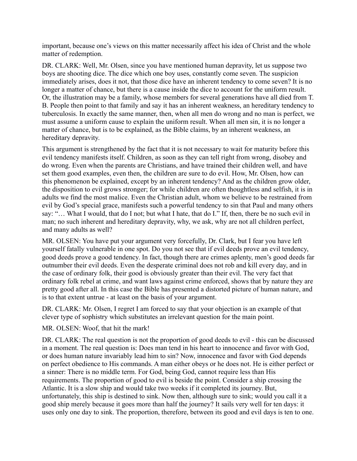important, because one's views on this matter necessarily affect his idea of Christ and the whole matter of redemption.

DR. CLARK: Well, Mr. Olsen, since you have mentioned human depravity, let us suppose two boys are shooting dice. The dice which one boy uses, constantly come seven. The suspicion immediately arises, does it not, that those dice have an inherent tendency to come seven? It is no longer a matter of chance, but there is a cause inside the dice to account for the uniform result. Or, the illustration may be a family, whose members for several generations have all died from T. B. People then point to that family and say it has an inherent weakness, an hereditary tendency to tuberculosis. In exactly the same manner, then, when all men do wrong and no man is perfect, we must assume a uniform cause to explain the uniform result. When all men sin, it is no longer a matter of chance, but is to be explained, as the Bible claims, by an inherent weakness, an hereditary depravity.

This argument is strengthened by the fact that it is not necessary to wait for maturity before this evil tendency manifests itself. Children, as soon as they can tell right from wrong, disobey and do wrong. Even when the parents are Christians, and have trained their children well, and have set them good examples, even then, the children are sure to do evil. How, Mr. Olsen, how can this phenomenon be explained, except by an inherent tendency? And as the children grow older, the disposition to evil grows stronger; for while children are often thoughtless and selfish, it is in adults we find the most malice. Even the Christian adult, whom we believe to be restrained from evil by God's special grace, manifests such a powerful tendency to sin that Paul and many others say: "… What I would, that do I not; but what I hate, that do I." If, then, there be no such evil in man; no such inherent and hereditary depravity, why, we ask, why are not all children perfect, and many adults as well?

MR. OLSEN: You have put your argument very forcefully, Dr. Clark, but I fear you have left yourself fatally vulnerable in one spot. Do you not see that if evil deeds prove an evil tendency, good deeds prove a good tendency. In fact, though there are crimes aplenty, men's good deeds far outnumber their evil deeds. Even the desperate criminal does not rob and kill every day, and in the case of ordinary folk, their good is obviously greater than their evil. The very fact that ordinary folk rebel at crime, and want laws against crime enforced, shows that by nature they are pretty good after all. In this case the Bible has presented a distorted picture of human nature, and is to that extent untrue - at least on the basis of your argument.

DR. CLARK: Mr. Olsen, I regret I am forced to say that your objection is an example of that clever type of sophistry which substitutes an irrelevant question for the main point.

MR. OLSEN: Woof, that hit the mark!

DR. CLARK: The real question is not the proportion of good deeds to evil - this can be discussed in a moment. The real question is: Does man tend in his heart to innocence and favor with God, or does human nature invariably lead him to sin? Now, innocence and favor with God depends on perfect obedience to His commands. A man either obeys or he does not. He is either perfect or a sinner: There is no middle term. For God, being God, cannot require less than His requirements. The proportion of good to evil is beside the point. Consider a ship crossing the Atlantic. It is a slow ship and would take two weeks if it completed its journey. But, unfortunately, this ship is destined to sink. Now then, although sure to sink; would you call it a good ship merely because it goes more than half the journey? It sails very well for ten days: it uses only one day to sink. The proportion, therefore, between its good and evil days is ten to one.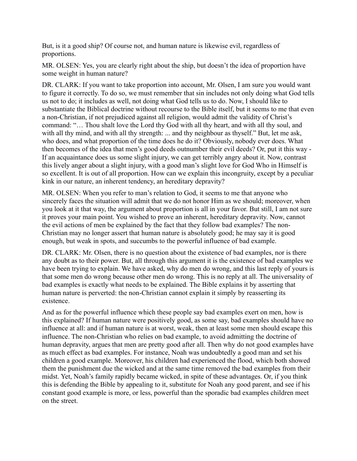But, is it a good ship? Of course not, and human nature is likewise evil, regardless of proportions.

MR. OLSEN: Yes, you are clearly right about the ship, but doesn't the idea of proportion have some weight in human nature?

DR. CLARK: If you want to take proportion into account, Mr. Olsen, I am sure you would want to figure it correctly. To do so, we must remember that sin includes not only doing what God tells us not to do; it includes as well, not doing what God tells us to do. Now, I should like to substantiate the Biblical doctrine without recourse to the Bible itself, but it seems to me that even a non-Christian, if not prejudiced against all religion, would admit the validity of Christ's command: "… Thou shalt love the Lord thy God with all thy heart, and with all thy soul, and with all thy mind, and with all thy strength: ... and thy neighbour as thyself." But, let me ask, who does, and what proportion of the time does he do it? Obviously, nobody ever does. What then becomes of the idea that men's good deeds outnumber their evil deeds? Or, put it this way - If an acquaintance does us some slight injury, we can get terribly angry about it. Now, contrast this lively anger about a slight injury, with a good man's slight love for God Who in Himself is so excellent. It is out of all proportion. How can we explain this incongruity, except by a peculiar kink in our nature, an inherent tendency, an hereditary depravity?

MR. OLSEN: When you refer to man's relation to God, it seems to me that anyone who sincerely faces the situation will admit that we do not honor Him as we should; moreover, when you look at it that way, the argument about proportion is all in your favor. But still, I am not sure it proves your main point. You wished to prove an inherent, hereditary depravity. Now, cannot the evil actions of men be explained by the fact that they follow bad examples? The non-Christian may no longer assert that human nature is absolutely good; he may say it is good enough, but weak in spots, and succumbs to the powerful influence of bad example.

DR. CLARK: Mr. Olsen, there is no question about the existence of bad examples, nor is there any doubt as to their power. But, all through this argument it is the existence of bad examples we have been trying to explain. We have asked, why do men do wrong, and this last reply of yours is that some men do wrong because other men do wrong. This is no reply at all. The universality of bad examples is exactly what needs to be explained. The Bible explains it by asserting that human nature is perverted: the non-Christian cannot explain it simply by reasserting its existence.

And as for the powerful influence which these people say bad examples exert on men, how is this explained? If human nature were positively good, as some say, bad examples should have no influence at all: and if human nature is at worst, weak, then at least some men should escape this influence. The non-Christian who relies on bad example, to avoid admitting the doctrine of human depravity, argues that men are pretty good after all. Then why do not good examples have as much effect as bad examples. For instance, Noah was undoubtedly a good man and set his children a good example. Moreover, his children had experienced the flood, which both showed them the punishment due the wicked and at the same time removed the bad examples from their midst. Yet, Noah's family rapidly became wicked, in spite of these advantages. Or, if you think this is defending the Bible by appealing to it, substitute for Noah any good parent, and see if his constant good example is more, or less, powerful than the sporadic bad examples children meet on the street.